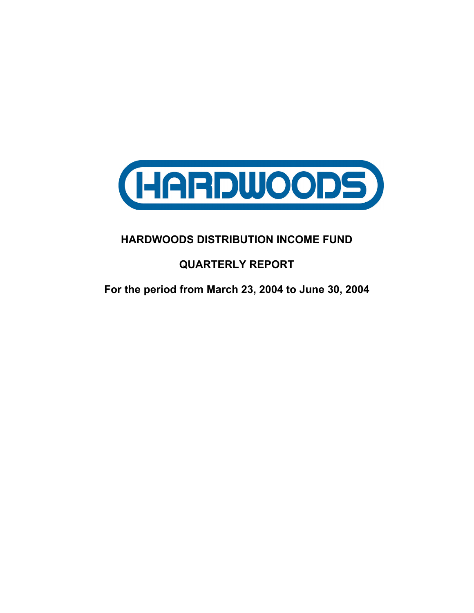

# **HARDWOODS DISTRIBUTION INCOME FUND**

# **QUARTERLY REPORT**

**For the period from March 23, 2004 to June 30, 2004**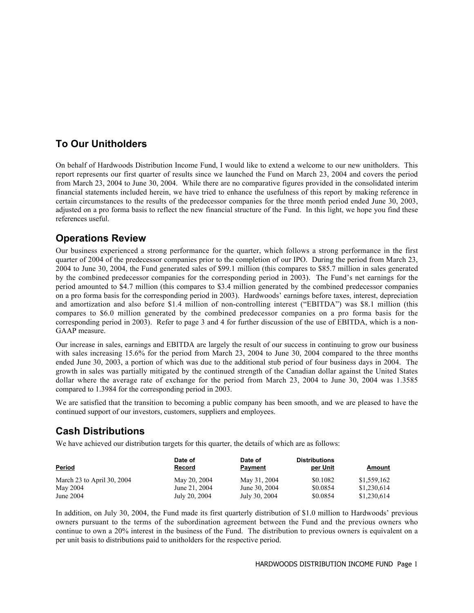# **To Our Unitholders**

On behalf of Hardwoods Distribution Income Fund, I would like to extend a welcome to our new unitholders. This report represents our first quarter of results since we launched the Fund on March 23, 2004 and covers the period from March 23, 2004 to June 30, 2004. While there are no comparative figures provided in the consolidated interim financial statements included herein, we have tried to enhance the usefulness of this report by making reference in certain circumstances to the results of the predecessor companies for the three month period ended June 30, 2003, adjusted on a pro forma basis to reflect the new financial structure of the Fund. In this light, we hope you find these references useful.

## **Operations Review**

Our business experienced a strong performance for the quarter, which follows a strong performance in the first quarter of 2004 of the predecessor companies prior to the completion of our IPO. During the period from March 23, 2004 to June 30, 2004, the Fund generated sales of \$99.1 million (this compares to \$85.7 million in sales generated by the combined predecessor companies for the corresponding period in 2003). The Fund's net earnings for the period amounted to \$4.7 million (this compares to \$3.4 million generated by the combined predecessor companies on a pro forma basis for the corresponding period in 2003). Hardwoods' earnings before taxes, interest, depreciation and amortization and also before \$1.4 million of non-controlling interest ("EBITDA") was \$8.1 million (this compares to \$6.0 million generated by the combined predecessor companies on a pro forma basis for the corresponding period in 2003). Refer to page 3 and 4 for further discussion of the use of EBITDA, which is a non-GAAP measure.

Our increase in sales, earnings and EBITDA are largely the result of our success in continuing to grow our business with sales increasing 15.6% for the period from March 23, 2004 to June 30, 2004 compared to the three months ended June 30, 2003, a portion of which was due to the additional stub period of four business days in 2004. The growth in sales was partially mitigated by the continued strength of the Canadian dollar against the United States dollar where the average rate of exchange for the period from March 23, 2004 to June 30, 2004 was 1.3585 compared to 1.3984 for the corresponding period in 2003.

We are satisfied that the transition to becoming a public company has been smooth, and we are pleased to have the continued support of our investors, customers, suppliers and employees.

# **Cash Distributions**

We have achieved our distribution targets for this quarter, the details of which are as follows:

| Period                     | Date of<br>Record | Date of<br>Payment | <b>Distributions</b><br>per Unit | Amount      |
|----------------------------|-------------------|--------------------|----------------------------------|-------------|
| March 23 to April 30, 2004 | May 20, 2004      | May 31, 2004       | \$0.1082                         | \$1,559,162 |
| May 2004                   | June 21, 2004     | June 30, 2004      | \$0.0854                         | \$1,230,614 |
| June 2004                  | July 20, 2004     | July 30, 2004      | \$0.0854                         | \$1,230,614 |

In addition, on July 30, 2004, the Fund made its first quarterly distribution of \$1.0 million to Hardwoods' previous owners pursuant to the terms of the subordination agreement between the Fund and the previous owners who continue to own a 20% interest in the business of the Fund. The distribution to previous owners is equivalent on a per unit basis to distributions paid to unitholders for the respective period.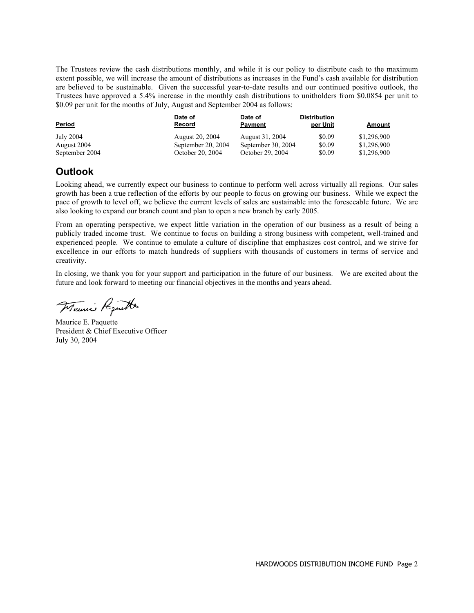The Trustees review the cash distributions monthly, and while it is our policy to distribute cash to the maximum extent possible, we will increase the amount of distributions as increases in the Fund's cash available for distribution are believed to be sustainable. Given the successful year-to-date results and our continued positive outlook, the Trustees have approved a 5.4% increase in the monthly cash distributions to unitholders from \$0.0854 per unit to \$0.09 per unit for the months of July, August and September 2004 as follows:

| <u>Period</u>  | Date of<br><b>Record</b> | Date of<br><b>Payment</b> | <b>Distribution</b><br>per Unit | Amount      |
|----------------|--------------------------|---------------------------|---------------------------------|-------------|
| July 2004      | <b>August 20, 2004</b>   | August 31, 2004           | \$0.09                          | \$1,296,900 |
| August 2004    | September 20, 2004       | September 30, 2004        | \$0.09                          | \$1,296,900 |
| September 2004 | October 20, 2004         | October 29, 2004          | \$0.09                          | \$1,296,900 |

# **Outlook**

Looking ahead, we currently expect our business to continue to perform well across virtually all regions. Our sales growth has been a true reflection of the efforts by our people to focus on growing our business. While we expect the pace of growth to level off, we believe the current levels of sales are sustainable into the foreseeable future. We are also looking to expand our branch count and plan to open a new branch by early 2005.

From an operating perspective, we expect little variation in the operation of our business as a result of being a publicly traded income trust. We continue to focus on building a strong business with competent, well-trained and experienced people. We continue to emulate a culture of discipline that emphasizes cost control, and we strive for excellence in our efforts to match hundreds of suppliers with thousands of customers in terms of service and creativity.

In closing, we thank you for your support and participation in the future of our business. We are excited about the future and look forward to meeting our financial objectives in the months and years ahead.

Maurice Poputto

Maurice E. Paquette President & Chief Executive Officer July 30, 2004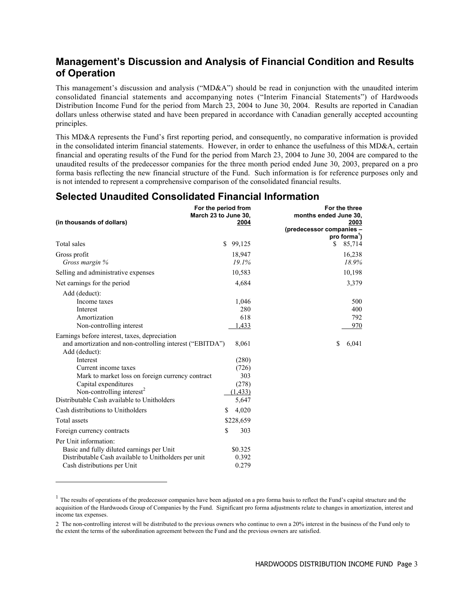### **Management's Discussion and Analysis of Financial Condition and Results of Operation**

This management's discussion and analysis ("MD&A") should be read in conjunction with the unaudited interim consolidated financial statements and accompanying notes ("Interim Financial Statements") of Hardwoods Distribution Income Fund for the period from March 23, 2004 to June 30, 2004. Results are reported in Canadian dollars unless otherwise stated and have been prepared in accordance with Canadian generally accepted accounting principles.

This MD&A represents the Fund's first reporting period, and consequently, no comparative information is provided in the consolidated interim financial statements. However, in order to enhance the usefulness of this MD&A, certain financial and operating results of the Fund for the period from March 23, 2004 to June 30, 2004 are compared to the unaudited results of the predecessor companies for the three month period ended June 30, 2003, prepared on a pro forma basis reflecting the new financial structure of the Fund. Such information is for reference purposes only and is not intended to represent a comprehensive comparison of the consolidated financial results.

## **Selected Unaudited Consolidated Financial Information**

| (in thousands of dollars)                                                                                                                                 | For the period from<br>March 23 to June 30,<br>2004 | For the three<br>months ended June 30,<br>2003<br>(predecessor companies -<br>pro forma <sup>1</sup> ) |
|-----------------------------------------------------------------------------------------------------------------------------------------------------------|-----------------------------------------------------|--------------------------------------------------------------------------------------------------------|
| Total sales                                                                                                                                               | \$99,125                                            | S.<br>85,714                                                                                           |
| Gross profit                                                                                                                                              | 18,947                                              | 16,238                                                                                                 |
| Gross margin %                                                                                                                                            | 19.1%                                               | 18.9%                                                                                                  |
| Selling and administrative expenses                                                                                                                       | 10,583                                              | 10,198                                                                                                 |
| Net earnings for the period                                                                                                                               | 4,684                                               | 3,379                                                                                                  |
| Add (deduct):<br>Income taxes<br>Interest<br>Amortization<br>Non-controlling interest<br>Earnings before interest, taxes, depreciation                    | 1,046<br>280<br>618<br>1,433                        | 500<br>400<br>792<br>970                                                                               |
| and amortization and non-controlling interest ("EBITDA")<br>Add (deduct):                                                                                 | 8,061                                               | \$<br>6,041                                                                                            |
| Interest                                                                                                                                                  | (280)                                               |                                                                                                        |
| Current income taxes                                                                                                                                      | (726)                                               |                                                                                                        |
| Mark to market loss on foreign currency contract                                                                                                          | 303                                                 |                                                                                                        |
| Capital expenditures                                                                                                                                      | (278)                                               |                                                                                                        |
| Non-controlling interest <sup>2</sup><br>Distributable Cash available to Unitholders                                                                      | (1, 433)<br>5,647                                   |                                                                                                        |
| Cash distributions to Unitholders                                                                                                                         | 4,020<br>\$.                                        |                                                                                                        |
| Total assets                                                                                                                                              | \$228,659                                           |                                                                                                        |
| Foreign currency contracts                                                                                                                                | 303<br>\$                                           |                                                                                                        |
| Per Unit information:<br>Basic and fully diluted earnings per Unit<br>Distributable Cash available to Unitholders per unit<br>Cash distributions per Unit | \$0.325<br>0.392<br>0.279                           |                                                                                                        |

 $\overline{a}$ 

 $<sup>1</sup>$  The results of operations of the predecessor companies have been adjusted on a pro forma basis to reflect the Fund's capital structure and the</sup> acquisition of the Hardwoods Group of Companies by the Fund. Significant pro forma adjustments relate to changes in amortization, interest and income tax expenses.

<sup>2</sup> The non-controlling interest will be distributed to the previous owners who continue to own a 20% interest in the business of the Fund only to the extent the terms of the subordination agreement between the Fund and the previous owners are satisfied.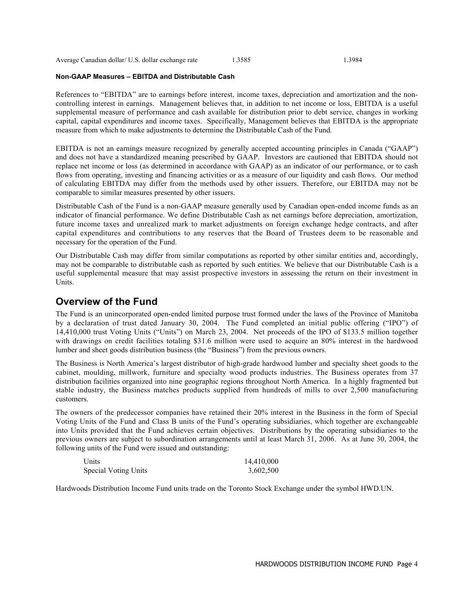Average Canadian dollar/ U.S. dollar exchange rate 1.3585 1.3984

### **Non-GAAP Measures – EBITDA and Distributable Cash**

References to "EBITDA" are to earnings before interest, income taxes, depreciation and amortization and the noncontrolling interest in earnings. Management believes that, in addition to net income or loss, EBITDA is a useful supplemental measure of performance and cash available for distribution prior to debt service, changes in working capital, capital expenditures and income taxes. Specifically, Management believes that EBITDA is the appropriate measure from which to make adjustments to determine the Distributable Cash of the Fund.

EBITDA is not an earnings measure recognized by generally accepted accounting principles in Canada ("GAAP") and does not have a standardized meaning prescribed by GAAP. Investors are cautioned that EBITDA should not replace net income or loss (as determined in accordance with GAAP) as an indicator of our performance, or to cash flows from operating, investing and financing activities or as a measure of our liquidity and cash flows. Our method of calculating EBITDA may differ from the methods used by other issuers. Therefore, our EBITDA may not be comparable to similar measures presented by other issuers.

Distributable Cash of the Fund is a non-GAAP measure generally used by Canadian open-ended income funds as an indicator of financial performance. We define Distributable Cash as net earnings before depreciation, amortization, future income taxes and unrealized mark to market adjustments on foreign exchange hedge contracts, and after capital expenditures and contributions to any reserves that the Board of Trustees deem to be reasonable and necessary for the operation of the Fund.

Our Distributable Cash may differ from similar computations as reported by other similar entities and, accordingly, may not be comparable to distributable cash as reported by such entities. We believe that our Distributable Cash is a useful supplemental measure that may assist prospective investors in assessing the return on their investment in Units.

### **Overview of the Fund**

The Fund is an unincorporated open-ended limited purpose trust formed under the laws of the Province of Manitoba by a declaration of trust dated January 30, 2004. The Fund completed an initial public offering ("IPO") of 14,410,000 trust Voting Units ("Units") on March 23, 2004. Net proceeds of the IPO of \$133.5 million together with drawings on credit facilities totaling \$31.6 million were used to acquire an 80% interest in the hardwood lumber and sheet goods distribution business (the "Business") from the previous owners.

The Business is North America's largest distributor of high-grade hardwood lumber and specialty sheet goods to the cabinet, moulding, millwork, furniture and specialty wood products industries. The Business operates from 37 distribution facilities organized into nine geographic regions throughout North America. In a highly fragmented but stable industry, the Business matches products supplied from hundreds of mills to over 2,500 manufacturing customers.

The owners of the predecessor companies have retained their 20% interest in the Business in the form of Special Voting Units of the Fund and Class B units of the Fund's operating subsidiaries, which together are exchangeable into Units provided that the Fund achieves certain objectives. Distributions by the operating subsidiaries to the previous owners are subject to subordination arrangements until at least March 31, 2006. As at June 30, 2004, the following units of the Fund were issued and outstanding:

| Units                | 14,410,000 |
|----------------------|------------|
| Special Voting Units | 3,602,500  |

Hardwoods Distribution Income Fund units trade on the Toronto Stock Exchange under the symbol HWD.UN.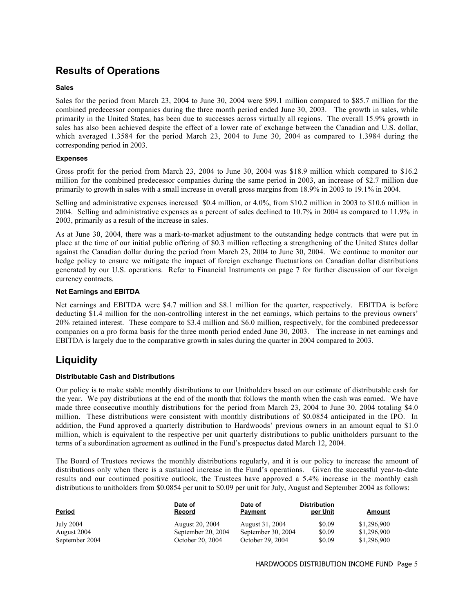# **Results of Operations**

### **Sales**

Sales for the period from March 23, 2004 to June 30, 2004 were \$99.1 million compared to \$85.7 million for the combined predecessor companies during the three month period ended June 30, 2003. The growth in sales, while primarily in the United States, has been due to successes across virtually all regions. The overall 15.9% growth in sales has also been achieved despite the effect of a lower rate of exchange between the Canadian and U.S. dollar, which averaged 1.3584 for the period March 23, 2004 to June 30, 2004 as compared to 1.3984 during the corresponding period in 2003.

### **Expenses**

Gross profit for the period from March 23, 2004 to June 30, 2004 was \$18.9 million which compared to \$16.2 million for the combined predecessor companies during the same period in 2003, an increase of \$2.7 million due primarily to growth in sales with a small increase in overall gross margins from 18.9% in 2003 to 19.1% in 2004.

Selling and administrative expenses increased \$0.4 million, or 4.0%, from \$10.2 million in 2003 to \$10.6 million in 2004. Selling and administrative expenses as a percent of sales declined to 10.7% in 2004 as compared to 11.9% in 2003, primarily as a result of the increase in sales.

As at June 30, 2004, there was a mark-to-market adjustment to the outstanding hedge contracts that were put in place at the time of our initial public offering of \$0.3 million reflecting a strengthening of the United States dollar against the Canadian dollar during the period from March 23, 2004 to June 30, 2004. We continue to monitor our hedge policy to ensure we mitigate the impact of foreign exchange fluctuations on Canadian dollar distributions generated by our U.S. operations. Refer to Financial Instruments on page 7 for further discussion of our foreign currency contracts.

#### **Net Earnings and EBITDA**

Net earnings and EBITDA were \$4.7 million and \$8.1 million for the quarter, respectively. EBITDA is before deducting \$1.4 million for the non-controlling interest in the net earnings, which pertains to the previous owners' 20% retained interest. These compare to \$3.4 million and \$6.0 million, respectively, for the combined predecessor companies on a pro forma basis for the three month period ended June 30, 2003. The increase in net earnings and EBITDA is largely due to the comparative growth in sales during the quarter in 2004 compared to 2003.

### **Liquidity**

### **Distributable Cash and Distributions**

Our policy is to make stable monthly distributions to our Unitholders based on our estimate of distributable cash for the year. We pay distributions at the end of the month that follows the month when the cash was earned. We have made three consecutive monthly distributions for the period from March 23, 2004 to June 30, 2004 totaling \$4.0 million. These distributions were consistent with monthly distributions of \$0.0854 anticipated in the IPO. In addition, the Fund approved a quarterly distribution to Hardwoods' previous owners in an amount equal to \$1.0 million, which is equivalent to the respective per unit quarterly distributions to public unitholders pursuant to the terms of a subordination agreement as outlined in the Fund's prospectus dated March 12, 2004.

The Board of Trustees reviews the monthly distributions regularly, and it is our policy to increase the amount of distributions only when there is a sustained increase in the Fund's operations. Given the successful year-to-date results and our continued positive outlook, the Trustees have approved a 5.4% increase in the monthly cash distributions to unitholders from \$0.0854 per unit to \$0.09 per unit for July, August and September 2004 as follows:

| <b>Period</b>    | Date of<br><b>Record</b> | Date of<br>Payment | <b>Distribution</b><br>per Unit | Amount      |
|------------------|--------------------------|--------------------|---------------------------------|-------------|
| <b>July 2004</b> | August 20, 2004          | August 31, 2004    | \$0.09                          | \$1,296,900 |
| August 2004      | September 20, 2004       | September 30, 2004 | \$0.09                          | \$1,296,900 |
| September 2004   | October 20, 2004         | October 29, 2004   | \$0.09                          | \$1,296,900 |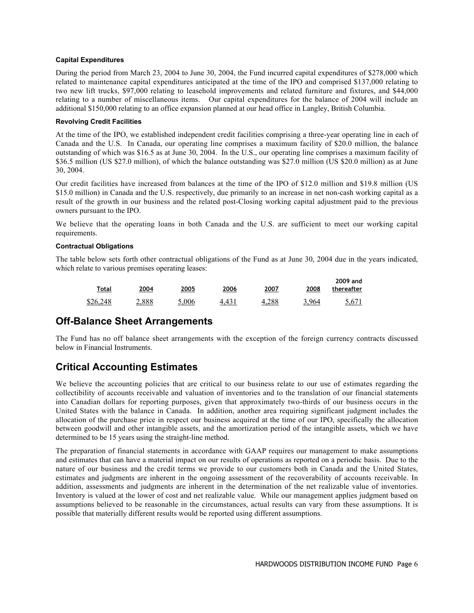### **Capital Expenditures**

During the period from March 23, 2004 to June 30, 2004, the Fund incurred capital expenditures of \$278,000 which related to maintenance capital expenditures anticipated at the time of the IPO and comprised \$137,000 relating to two new lift trucks, \$97,000 relating to leasehold improvements and related furniture and fixtures, and \$44,000 relating to a number of miscellaneous items. Our capital expenditures for the balance of 2004 will include an additional \$150,000 relating to an office expansion planned at our head office in Langley, British Columbia.

### **Revolving Credit Facilities**

At the time of the IPO, we established independent credit facilities comprising a three-year operating line in each of Canada and the U.S. In Canada, our operating line comprises a maximum facility of \$20.0 million, the balance outstanding of which was \$16.5 as at June 30, 2004. In the U.S., our operating line comprises a maximum facility of \$36.5 million (US \$27.0 million), of which the balance outstanding was \$27.0 million (US \$20.0 million) as at June 30, 2004.

Our credit facilities have increased from balances at the time of the IPO of \$12.0 million and \$19.8 million (US \$15.0 million) in Canada and the U.S. respectively, due primarily to an increase in net non-cash working capital as a result of the growth in our business and the related post-Closing working capital adjustment paid to the previous owners pursuant to the IPO.

We believe that the operating loans in both Canada and the U.S. are sufficient to meet our working capital requirements.

### **Contractual Obligations**

The table below sets forth other contractual obligations of the Fund as at June 30, 2004 due in the years indicated, which relate to various premises operating leases:

| 2009 and<br>thereafter | 2008  | 2007  | 2006  | 2005  | 2004  | Total    |
|------------------------|-------|-------|-------|-------|-------|----------|
| 5.671                  | 3.964 | 4.288 | 4.431 | 5.006 | 2.888 | \$26,248 |

### **Off-Balance Sheet Arrangements**

The Fund has no off balance sheet arrangements with the exception of the foreign currency contracts discussed below in Financial Instruments.

# **Critical Accounting Estimates**

We believe the accounting policies that are critical to our business relate to our use of estimates regarding the collectibility of accounts receivable and valuation of inventories and to the translation of our financial statements into Canadian dollars for reporting purposes, given that approximately two-thirds of our business occurs in the United States with the balance in Canada. In addition, another area requiring significant judgment includes the allocation of the purchase price in respect our business acquired at the time of our IPO, specifically the allocation between goodwill and other intangible assets, and the amortization period of the intangible assets, which we have determined to be 15 years using the straight-line method.

The preparation of financial statements in accordance with GAAP requires our management to make assumptions and estimates that can have a material impact on our results of operations as reported on a periodic basis. Due to the nature of our business and the credit terms we provide to our customers both in Canada and the United States, estimates and judgments are inherent in the ongoing assessment of the recoverability of accounts receivable. In addition, assessments and judgments are inherent in the determination of the net realizable value of inventories. Inventory is valued at the lower of cost and net realizable value. While our management applies judgment based on assumptions believed to be reasonable in the circumstances, actual results can vary from these assumptions. It is possible that materially different results would be reported using different assumptions.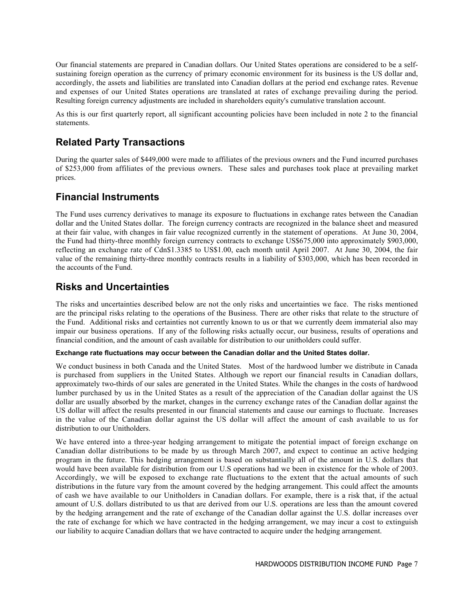Our financial statements are prepared in Canadian dollars. Our United States operations are considered to be a selfsustaining foreign operation as the currency of primary economic environment for its business is the US dollar and, accordingly, the assets and liabilities are translated into Canadian dollars at the period end exchange rates. Revenue and expenses of our United States operations are translated at rates of exchange prevailing during the period. Resulting foreign currency adjustments are included in shareholders equity's cumulative translation account.

As this is our first quarterly report, all significant accounting policies have been included in note 2 to the financial statements.

## **Related Party Transactions**

During the quarter sales of \$449,000 were made to affiliates of the previous owners and the Fund incurred purchases of \$253,000 from affiliates of the previous owners. These sales and purchases took place at prevailing market prices.

## **Financial Instruments**

The Fund uses currency derivatives to manage its exposure to fluctuations in exchange rates between the Canadian dollar and the United States dollar. The foreign currency contracts are recognized in the balance sheet and measured at their fair value, with changes in fair value recognized currently in the statement of operations. At June 30, 2004, the Fund had thirty-three monthly foreign currency contracts to exchange US\$675,000 into approximately \$903,000, reflecting an exchange rate of Cdn\$1.3385 to US\$1.00, each month until April 2007. At June 30, 2004, the fair value of the remaining thirty-three monthly contracts results in a liability of \$303,000, which has been recorded in the accounts of the Fund.

## **Risks and Uncertainties**

The risks and uncertainties described below are not the only risks and uncertainties we face. The risks mentioned are the principal risks relating to the operations of the Business. There are other risks that relate to the structure of the Fund. Additional risks and certainties not currently known to us or that we currently deem immaterial also may impair our business operations. If any of the following risks actually occur, our business, results of operations and financial condition, and the amount of cash available for distribution to our unitholders could suffer.

### **Exchange rate fluctuations may occur between the Canadian dollar and the United States dollar.**

We conduct business in both Canada and the United States. Most of the hardwood lumber we distribute in Canada is purchased from suppliers in the United States. Although we report our financial results in Canadian dollars, approximately two-thirds of our sales are generated in the United States. While the changes in the costs of hardwood lumber purchased by us in the United States as a result of the appreciation of the Canadian dollar against the US dollar are usually absorbed by the market, changes in the currency exchange rates of the Canadian dollar against the US dollar will affect the results presented in our financial statements and cause our earnings to fluctuate. Increases in the value of the Canadian dollar against the US dollar will affect the amount of cash available to us for distribution to our Unitholders.

We have entered into a three-year hedging arrangement to mitigate the potential impact of foreign exchange on Canadian dollar distributions to be made by us through March 2007, and expect to continue an active hedging program in the future. This hedging arrangement is based on substantially all of the amount in U.S. dollars that would have been available for distribution from our U.S operations had we been in existence for the whole of 2003. Accordingly, we will be exposed to exchange rate fluctuations to the extent that the actual amounts of such distributions in the future vary from the amount covered by the hedging arrangement. This could affect the amounts of cash we have available to our Unitholders in Canadian dollars. For example, there is a risk that, if the actual amount of U.S. dollars distributed to us that are derived from our U.S. operations are less than the amount covered by the hedging arrangement and the rate of exchange of the Canadian dollar against the U.S. dollar increases over the rate of exchange for which we have contracted in the hedging arrangement, we may incur a cost to extinguish our liability to acquire Canadian dollars that we have contracted to acquire under the hedging arrangement.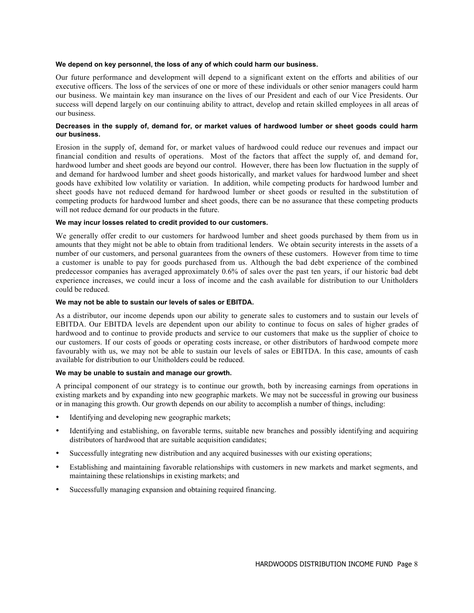#### **We depend on key personnel, the loss of any of which could harm our business.**

Our future performance and development will depend to a significant extent on the efforts and abilities of our executive officers. The loss of the services of one or more of these individuals or other senior managers could harm our business. We maintain key man insurance on the lives of our President and each of our Vice Presidents. Our success will depend largely on our continuing ability to attract, develop and retain skilled employees in all areas of our business.

#### **Decreases in the supply of, demand for, or market values of hardwood lumber or sheet goods could harm our business.**

Erosion in the supply of, demand for, or market values of hardwood could reduce our revenues and impact our financial condition and results of operations. Most of the factors that affect the supply of, and demand for, hardwood lumber and sheet goods are beyond our control. However, there has been low fluctuation in the supply of and demand for hardwood lumber and sheet goods historically, and market values for hardwood lumber and sheet goods have exhibited low volatility or variation. In addition, while competing products for hardwood lumber and sheet goods have not reduced demand for hardwood lumber or sheet goods or resulted in the substitution of competing products for hardwood lumber and sheet goods, there can be no assurance that these competing products will not reduce demand for our products in the future.

#### **We may incur losses related to credit provided to our customers.**

We generally offer credit to our customers for hardwood lumber and sheet goods purchased by them from us in amounts that they might not be able to obtain from traditional lenders. We obtain security interests in the assets of a number of our customers, and personal guarantees from the owners of these customers. However from time to time a customer is unable to pay for goods purchased from us. Although the bad debt experience of the combined predecessor companies has averaged approximately 0.6% of sales over the past ten years, if our historic bad debt experience increases, we could incur a loss of income and the cash available for distribution to our Unitholders could be reduced.

#### **We may not be able to sustain our levels of sales or EBITDA.**

As a distributor, our income depends upon our ability to generate sales to customers and to sustain our levels of EBITDA. Our EBITDA levels are dependent upon our ability to continue to focus on sales of higher grades of hardwood and to continue to provide products and service to our customers that make us the supplier of choice to our customers. If our costs of goods or operating costs increase, or other distributors of hardwood compete more favourably with us, we may not be able to sustain our levels of sales or EBITDA. In this case, amounts of cash available for distribution to our Unitholders could be reduced.

#### **We may be unable to sustain and manage our growth.**

A principal component of our strategy is to continue our growth, both by increasing earnings from operations in existing markets and by expanding into new geographic markets. We may not be successful in growing our business or in managing this growth. Our growth depends on our ability to accomplish a number of things, including:

- Identifying and developing new geographic markets;
- Identifying and establishing, on favorable terms, suitable new branches and possibly identifying and acquiring distributors of hardwood that are suitable acquisition candidates;
- Successfully integrating new distribution and any acquired businesses with our existing operations;
- Establishing and maintaining favorable relationships with customers in new markets and market segments, and maintaining these relationships in existing markets; and
- Successfully managing expansion and obtaining required financing.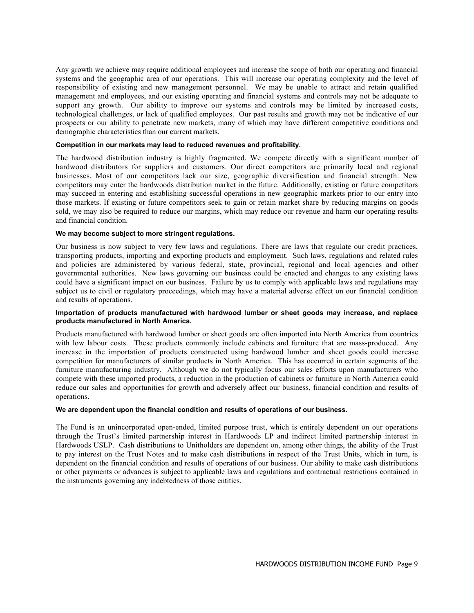Any growth we achieve may require additional employees and increase the scope of both our operating and financial systems and the geographic area of our operations. This will increase our operating complexity and the level of responsibility of existing and new management personnel. We may be unable to attract and retain qualified management and employees, and our existing operating and financial systems and controls may not be adequate to support any growth. Our ability to improve our systems and controls may be limited by increased costs, technological challenges, or lack of qualified employees. Our past results and growth may not be indicative of our prospects or our ability to penetrate new markets, many of which may have different competitive conditions and demographic characteristics than our current markets.

### **Competition in our markets may lead to reduced revenues and profitability.**

The hardwood distribution industry is highly fragmented. We compete directly with a significant number of hardwood distributors for suppliers and customers. Our direct competitors are primarily local and regional businesses. Most of our competitors lack our size, geographic diversification and financial strength. New competitors may enter the hardwoods distribution market in the future. Additionally, existing or future competitors may succeed in entering and establishing successful operations in new geographic markets prior to our entry into those markets. If existing or future competitors seek to gain or retain market share by reducing margins on goods sold, we may also be required to reduce our margins, which may reduce our revenue and harm our operating results and financial condition.

#### **We may become subject to more stringent regulations.**

Our business is now subject to very few laws and regulations. There are laws that regulate our credit practices, transporting products, importing and exporting products and employment. Such laws, regulations and related rules and policies are administered by various federal, state, provincial, regional and local agencies and other governmental authorities. New laws governing our business could be enacted and changes to any existing laws could have a significant impact on our business. Failure by us to comply with applicable laws and regulations may subject us to civil or regulatory proceedings, which may have a material adverse effect on our financial condition and results of operations.

#### **Importation of products manufactured with hardwood lumber or sheet goods may increase, and replace products manufactured in North America.**

Products manufactured with hardwood lumber or sheet goods are often imported into North America from countries with low labour costs. These products commonly include cabinets and furniture that are mass-produced. Any increase in the importation of products constructed using hardwood lumber and sheet goods could increase competition for manufacturers of similar products in North America. This has occurred in certain segments of the furniture manufacturing industry. Although we do not typically focus our sales efforts upon manufacturers who compete with these imported products, a reduction in the production of cabinets or furniture in North America could reduce our sales and opportunities for growth and adversely affect our business, financial condition and results of operations.

### **We are dependent upon the financial condition and results of operations of our business.**

The Fund is an unincorporated open-ended, limited purpose trust, which is entirely dependent on our operations through the Trust's limited partnership interest in Hardwoods LP and indirect limited partnership interest in Hardwoods USLP. Cash distributions to Unitholders are dependent on, among other things, the ability of the Trust to pay interest on the Trust Notes and to make cash distributions in respect of the Trust Units, which in turn, is dependent on the financial condition and results of operations of our business. Our ability to make cash distributions or other payments or advances is subject to applicable laws and regulations and contractual restrictions contained in the instruments governing any indebtedness of those entities.